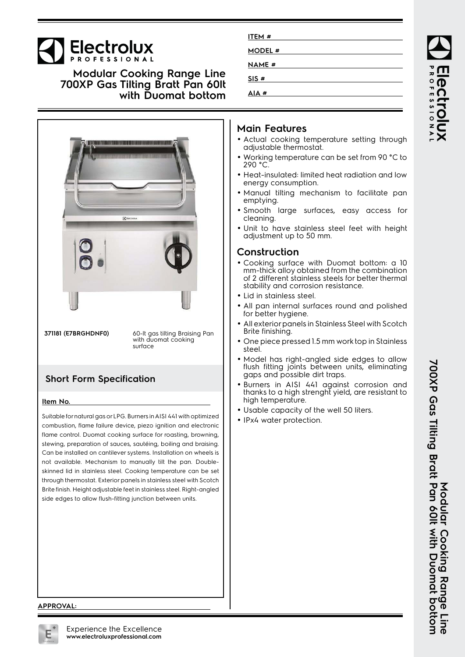# **Electrolux**

**Modular Cooking Range Line 700XP Gas Tilting Bratt Pan 60lt with Duomat bottom**



**371181 (E7BRGHDNF0)** 60-lt gas tilting Braising Pan with duomat cooking surface

## **Short Form Specification**

#### **Item No.**

Suitable for natural gas or LPG. Burners in AISI 441 with optimized combustion, flame failure device, piezo ignition and electronic flame control. Duomat cooking surface for roasting, browning, stewing, preparation of sauces, sautéing, boiling and braising. Can be installed on cantilever systems. Installation on wheels is not available. Mechanism to manually tilt the pan. Doubleskinned lid in stainless steel. Cooking temperature can be set through thermostat. Exterior panels in stainless steel with Scotch Brite finish. Height adjustable feet in stainless steel. Right-angled side edges to allow flush-fitting junction between units.

| ITEM #        |  |
|---------------|--|
| MODEL #       |  |
| <b>NAME #</b> |  |
| SIS#          |  |
| AIA #         |  |

#### **Main Features**

- Actual cooking temperature setting through adjustable thermostat.
- Working temperature can be set from 90 °C to 290 °C.
- Heat-insulated: limited heat radiation and low energy consumption.
- Manual tilting mechanism to facilitate pan emptying.
- Smooth large surfaces, easy access for cleaning.
- Unit to have stainless steel feet with height adjustment up to 50 mm.

#### **Construction**

- Cooking surface with Duomat bottom: a 10 mm-thick alloy obtained from the combination of 2 different stainless steels for better thermal stability and corrosion resistance.
- Lid in stainless steel.
- • All pan internal surfaces round and polished for better hygiene.
- • All exterior panels in Stainless Steel with Scotch Brite finishing.
- • One piece pressed 1.5 mm work top in Stainless steel.
- Model has right-angled side edges to allow flush fitting joints between units, eliminating gaps and possible dirt traps.
- Burners in AISI 441 against corrosion and thanks to a high strenght yield, are resistant to high temperature.
- Usable capacity of the well 50 liters.
- IPx4 water protection.

**Modular Cooking Range Line**

Modular Cooking Range Line

#### **APPROVAL:**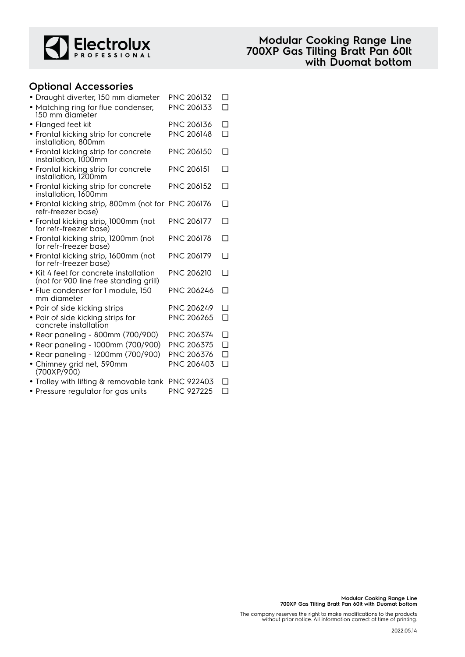

#### **Optional Accessories**

| · Draught diverter, 150 mm diameter                                              | PNC 206132        | ❏      |
|----------------------------------------------------------------------------------|-------------------|--------|
| • Matching ring for flue condenser,<br>150 mm diameter                           | PNC 206133        | $\Box$ |
| · Flanged feet kit                                                               | PNC 206136        | $\Box$ |
| • Frontal kicking strip for concrete<br>installation, 800mm                      | PNC 206148        | $\Box$ |
| • Frontal kicking strip for concrete<br>installation, 1000mm                     | <b>PNC 206150</b> | □      |
| • Frontal kicking strip for concrete<br>installation, 1200mm                     | <b>PNC 206151</b> | □      |
| • Frontal kicking strip for concrete<br>installation, 1600mm                     | <b>PNC 206152</b> | $\Box$ |
| • Frontal kicking strip, 800mm (not for PNC 206176<br>refr-freezer base)         |                   | $\Box$ |
| · Frontal kicking strip, 1000mm (not<br>for refr-freezer base)                   | <b>PNC 206177</b> | □      |
| · Frontal kicking strip, 1200mm (not<br>for refr-freezer base)                   | PNC 206178        | □      |
| • Frontal kicking strip, 1600mm (not<br>for refr-freezer base)                   | <b>PNC 206179</b> | $\Box$ |
| • Kit 4 feet for concrete installation<br>(not for 900 line free standing grill) | <b>PNC 206210</b> | □      |
| • Flue condenser for 1 module, 150<br>mm diameter                                | PNC 206246        | $\Box$ |
| · Pair of side kicking strips                                                    | PNC 206249        | $\Box$ |
| • Pair of side kicking strips for<br>concrete installation                       | PNC 206265        | $\Box$ |
| • Rear paneling - 800mm (700/900)                                                | PNC 206374        | $\Box$ |
| • Rear paneling - 1000mm (700/900)                                               | PNC 206375        | $\Box$ |
| • Rear paneling - 1200mm (700/900)                                               | PNC 206376        | $\Box$ |
| • Chimney grid net, 590mm<br>(700XP/900)                                         | PNC 206403        | $\Box$ |
| • Trolley with lifting & removable tank                                          | <b>PNC 922403</b> | ❏      |
| • Pressure regulator for gas units                                               | PNC 927225        | $\Box$ |